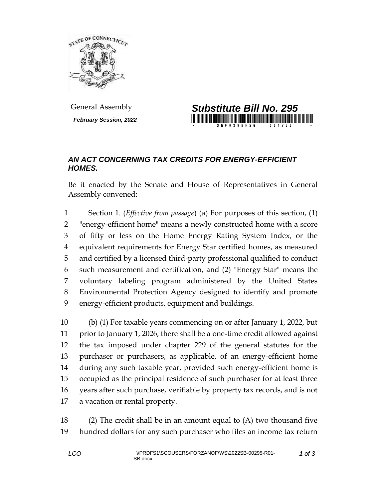

*February Session, 2022*



## *AN ACT CONCERNING TAX CREDITS FOR ENERGY-EFFICIENT HOMES.*

Be it enacted by the Senate and House of Representatives in General Assembly convened:

 Section 1. (*Effective from passage*) (a) For purposes of this section, (1) "energy-efficient home" means a newly constructed home with a score of fifty or less on the Home Energy Rating System Index, or the equivalent requirements for Energy Star certified homes, as measured and certified by a licensed third-party professional qualified to conduct such measurement and certification, and (2) "Energy Star" means the voluntary labeling program administered by the United States Environmental Protection Agency designed to identify and promote energy-efficient products, equipment and buildings.

 (b) (1) For taxable years commencing on or after January 1, 2022, but prior to January 1, 2026, there shall be a one-time credit allowed against the tax imposed under chapter 229 of the general statutes for the purchaser or purchasers, as applicable, of an energy-efficient home during any such taxable year, provided such energy-efficient home is occupied as the principal residence of such purchaser for at least three years after such purchase, verifiable by property tax records, and is not a vacation or rental property.

 (2) The credit shall be in an amount equal to (A) two thousand five hundred dollars for any such purchaser who files an income tax return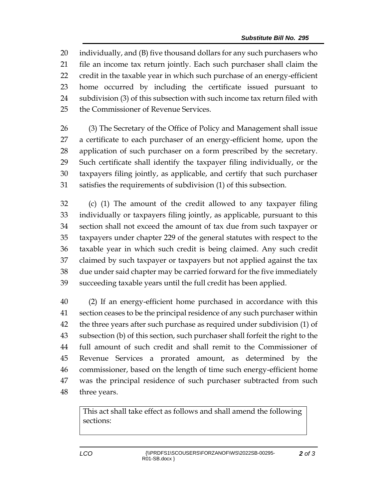individually, and (B) five thousand dollars for any such purchasers who file an income tax return jointly. Each such purchaser shall claim the credit in the taxable year in which such purchase of an energy-efficient home occurred by including the certificate issued pursuant to subdivision (3) of this subsection with such income tax return filed with the Commissioner of Revenue Services.

 (3) The Secretary of the Office of Policy and Management shall issue a certificate to each purchaser of an energy-efficient home, upon the application of such purchaser on a form prescribed by the secretary. Such certificate shall identify the taxpayer filing individually, or the taxpayers filing jointly, as applicable, and certify that such purchaser satisfies the requirements of subdivision (1) of this subsection.

 (c) (1) The amount of the credit allowed to any taxpayer filing individually or taxpayers filing jointly, as applicable, pursuant to this section shall not exceed the amount of tax due from such taxpayer or taxpayers under chapter 229 of the general statutes with respect to the taxable year in which such credit is being claimed. Any such credit claimed by such taxpayer or taxpayers but not applied against the tax due under said chapter may be carried forward for the five immediately succeeding taxable years until the full credit has been applied.

 (2) If an energy-efficient home purchased in accordance with this section ceases to be the principal residence of any such purchaser within the three years after such purchase as required under subdivision (1) of subsection (b) of this section, such purchaser shall forfeit the right to the full amount of such credit and shall remit to the Commissioner of Revenue Services a prorated amount, as determined by the commissioner, based on the length of time such energy-efficient home was the principal residence of such purchaser subtracted from such three years.

This act shall take effect as follows and shall amend the following sections: